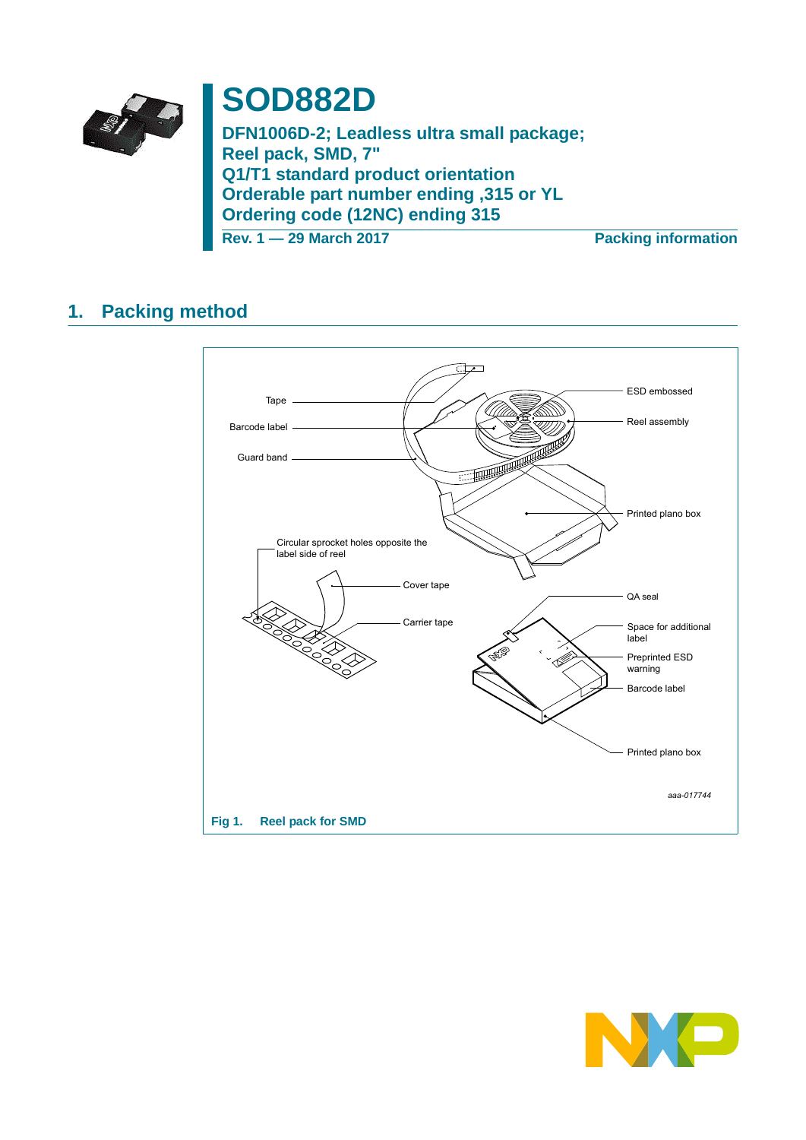

# **SOD882D**

**DFN1006D-2; Leadless ultra small package; Reel pack, SMD, 7" Q1/T1 standard product orientation Orderable part number ending ,315 or YL Ordering code (12NC) ending 315 Rev. 1 — 29 March 2017 Packing information**

## **1. Packing method**



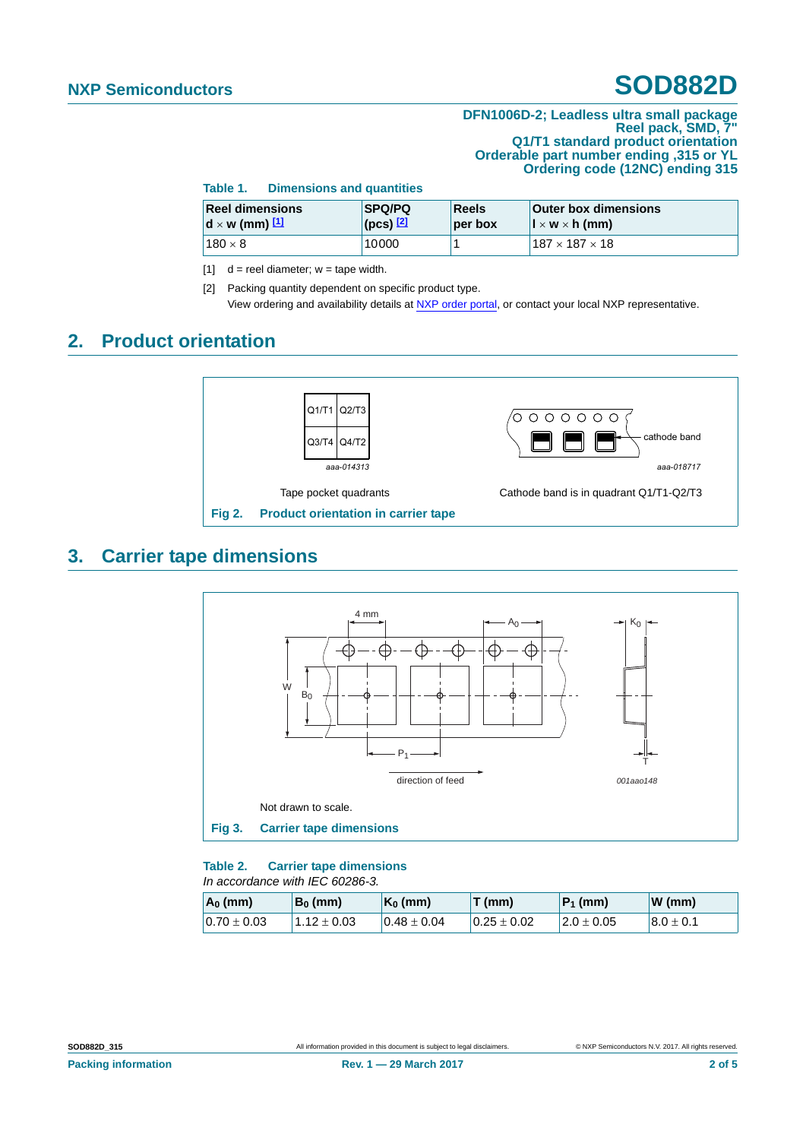#### **DFN1006D-2; Leadless ultra small package Reel pack, SMD, 7" Q1/T1 standard product orientation Orderable part number ending ,315 or YL Ordering code (12NC) ending 315**

| Table 1.<br><b>Dimensions and quantities</b>     |                                    |                                                                                                          |                            |  |  |
|--------------------------------------------------|------------------------------------|----------------------------------------------------------------------------------------------------------|----------------------------|--|--|
| <b>Reel dimensions</b><br>$d \times w$ (mm) $11$ | <b>SPQ/PQ</b><br>$($ pcs $)$ $[2]$ | Reels<br><b>Outer box dimensions</b><br>$\mathbf{l} \times \mathbf{w} \times \mathbf{h}$ (mm)<br>per box |                            |  |  |
| $180 \times 8$                                   | 10000                              |                                                                                                          | $187 \times 187 \times 18$ |  |  |

<span id="page-1-0"></span> $[1]$  d = reel diameter; w = tape width.

<span id="page-1-1"></span>[2] Packing quantity dependent on specific product type. View ordering and availability details at [NXP order portal](http://www.nxp.com/order-portal/), or contact your local NXP representative.

### **2. Product orientation**



### **3. Carrier tape dimensions**



#### **Table 2. Carrier tape dimensions** *In accordance with IEC 60286-3.*

| $A_0$ (mm)      | $B_0$ (mm)      | $K_0$ (mm)       | $T$ (mm)        | $P_1$ (mm)      | $W$ (mm)       |
|-----------------|-----------------|------------------|-----------------|-----------------|----------------|
| $0.70 \pm 0.03$ | $1.12 \pm 0.03$ | $10.48 \pm 0.04$ | $0.25 \pm 0.02$ | $12.0 \pm 0.05$ | $18.0 \pm 0.1$ |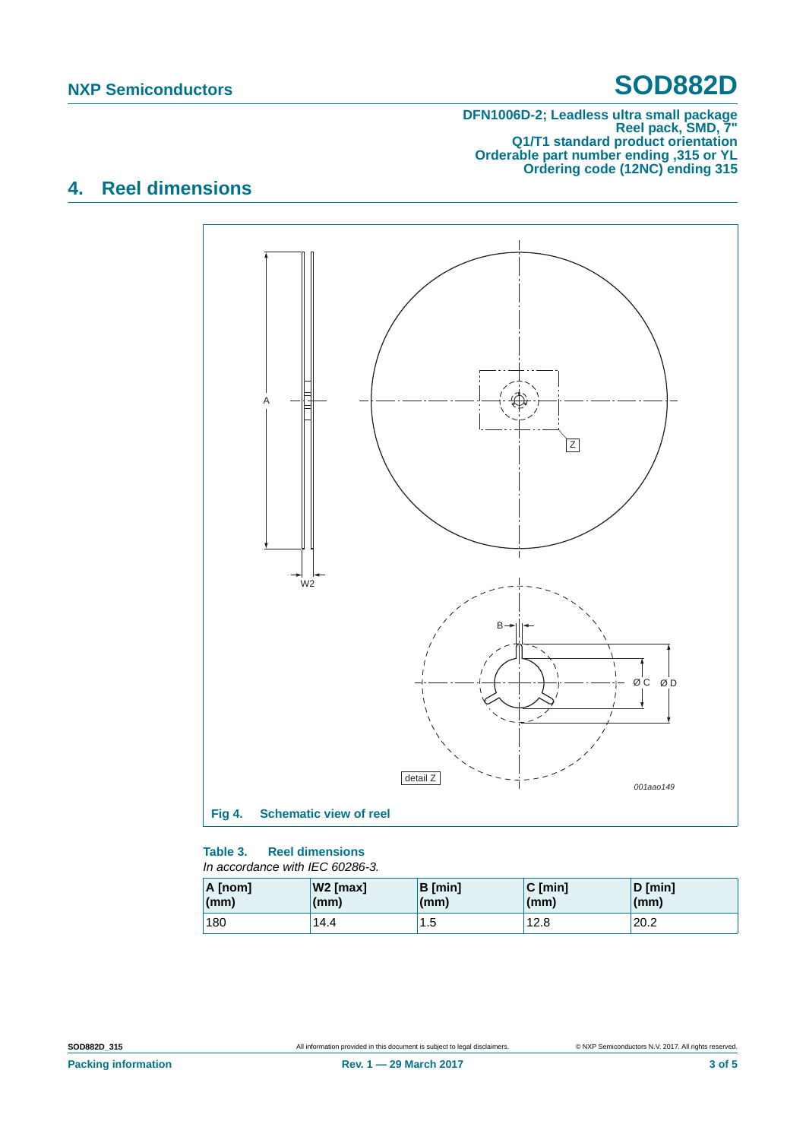#### **DFN1006D-2; Leadless ultra small package Reel pack, SMD, 7" Q1/T1 standard product orientation Orderable part number ending ,315 or YL Ordering code (12NC) ending 315**

## **4. Reel dimensions**





| $A$ [nom]       | W2 [max]     | <b>B</b> [min] | $ C$ [min]   | $D$ [min]    |
|-----------------|--------------|----------------|--------------|--------------|
| $\mathsf{(mm)}$ | $\mathsf{m}$ | (mm)           | $\mathsf{m}$ | $\mathsf{m}$ |
| 180             | 14.4         | 1.5            | 12.8         |              |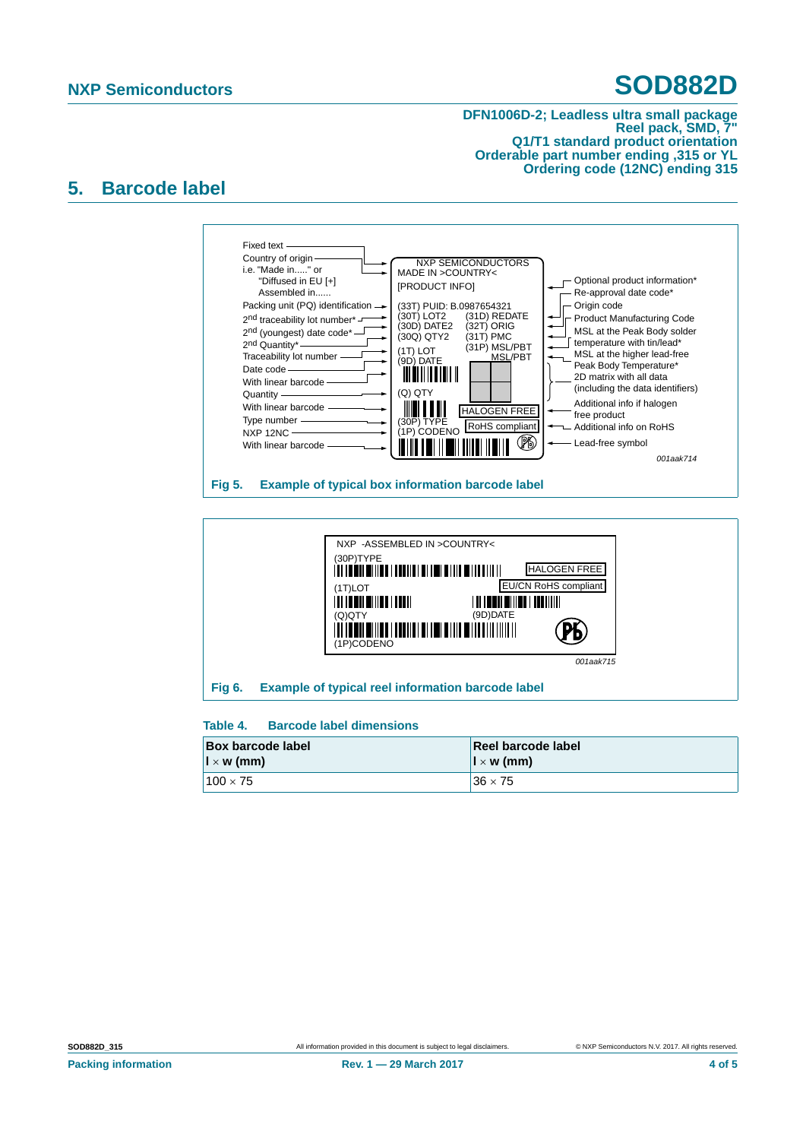#### **DFN1006D-2; Leadless ultra small package Reel pack, SMD, 7" Q1/T1 standard product orientation Orderable part number ending ,315 or YL Ordering code (12NC) ending 315**

### **5. Barcode label**





#### **Table 4. Barcode label dimensions**

| <b>Box barcode label</b>             | Reel barcode label                  |
|--------------------------------------|-------------------------------------|
| $\vert \vert \times \mathsf{w}$ (mm) | $\mathbf{I} \times \mathbf{w}$ (mm) |
| $100 \times 75$                      | $36 \times 75$                      |